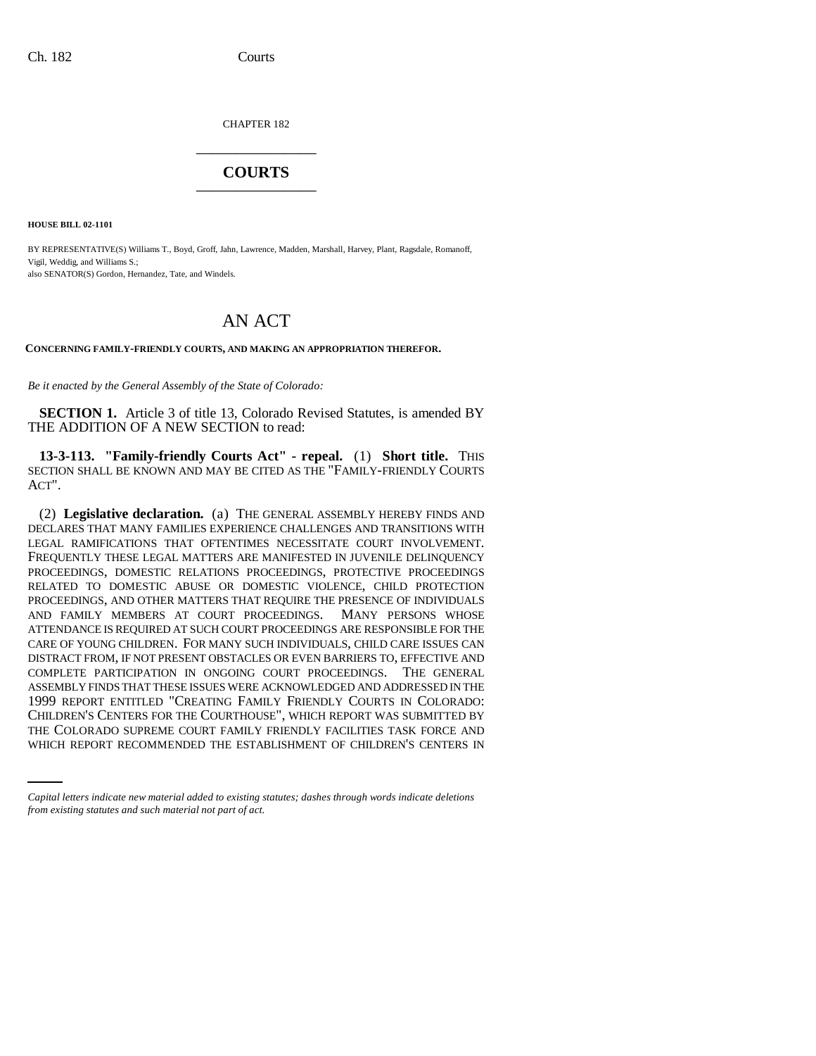CHAPTER 182 \_\_\_\_\_\_\_\_\_\_\_\_\_\_\_

# **COURTS** \_\_\_\_\_\_\_\_\_\_\_\_\_\_\_

**HOUSE BILL 02-1101**

BY REPRESENTATIVE(S) Williams T., Boyd, Groff, Jahn, Lawrence, Madden, Marshall, Harvey, Plant, Ragsdale, Romanoff, Vigil, Weddig, and Williams S.; also SENATOR(S) Gordon, Hernandez, Tate, and Windels.

# AN ACT

**CONCERNING FAMILY-FRIENDLY COURTS, AND MAKING AN APPROPRIATION THEREFOR.**

*Be it enacted by the General Assembly of the State of Colorado:*

**SECTION 1.** Article 3 of title 13, Colorado Revised Statutes, is amended BY THE ADDITION OF A NEW SECTION to read:

**13-3-113. "Family-friendly Courts Act" - repeal.** (1) **Short title.** THIS SECTION SHALL BE KNOWN AND MAY BE CITED AS THE "FAMILY-FRIENDLY COURTS ACT".

CHILDREN'S CENTERS FOR THE COURTHOUSE", WHICH REPORT WAS SUBMITTED BY (2) **Legislative declaration.** (a) THE GENERAL ASSEMBLY HEREBY FINDS AND DECLARES THAT MANY FAMILIES EXPERIENCE CHALLENGES AND TRANSITIONS WITH LEGAL RAMIFICATIONS THAT OFTENTIMES NECESSITATE COURT INVOLVEMENT. FREQUENTLY THESE LEGAL MATTERS ARE MANIFESTED IN JUVENILE DELINQUENCY PROCEEDINGS, DOMESTIC RELATIONS PROCEEDINGS, PROTECTIVE PROCEEDINGS RELATED TO DOMESTIC ABUSE OR DOMESTIC VIOLENCE, CHILD PROTECTION PROCEEDINGS, AND OTHER MATTERS THAT REQUIRE THE PRESENCE OF INDIVIDUALS AND FAMILY MEMBERS AT COURT PROCEEDINGS. MANY PERSONS WHOSE ATTENDANCE IS REQUIRED AT SUCH COURT PROCEEDINGS ARE RESPONSIBLE FOR THE CARE OF YOUNG CHILDREN. FOR MANY SUCH INDIVIDUALS, CHILD CARE ISSUES CAN DISTRACT FROM, IF NOT PRESENT OBSTACLES OR EVEN BARRIERS TO, EFFECTIVE AND COMPLETE PARTICIPATION IN ONGOING COURT PROCEEDINGS. THE GENERAL ASSEMBLY FINDS THAT THESE ISSUES WERE ACKNOWLEDGED AND ADDRESSED IN THE 1999 REPORT ENTITLED "CREATING FAMILY FRIENDLY COURTS IN COLORADO: THE COLORADO SUPREME COURT FAMILY FRIENDLY FACILITIES TASK FORCE AND WHICH REPORT RECOMMENDED THE ESTABLISHMENT OF CHILDREN'S CENTERS IN

*Capital letters indicate new material added to existing statutes; dashes through words indicate deletions from existing statutes and such material not part of act.*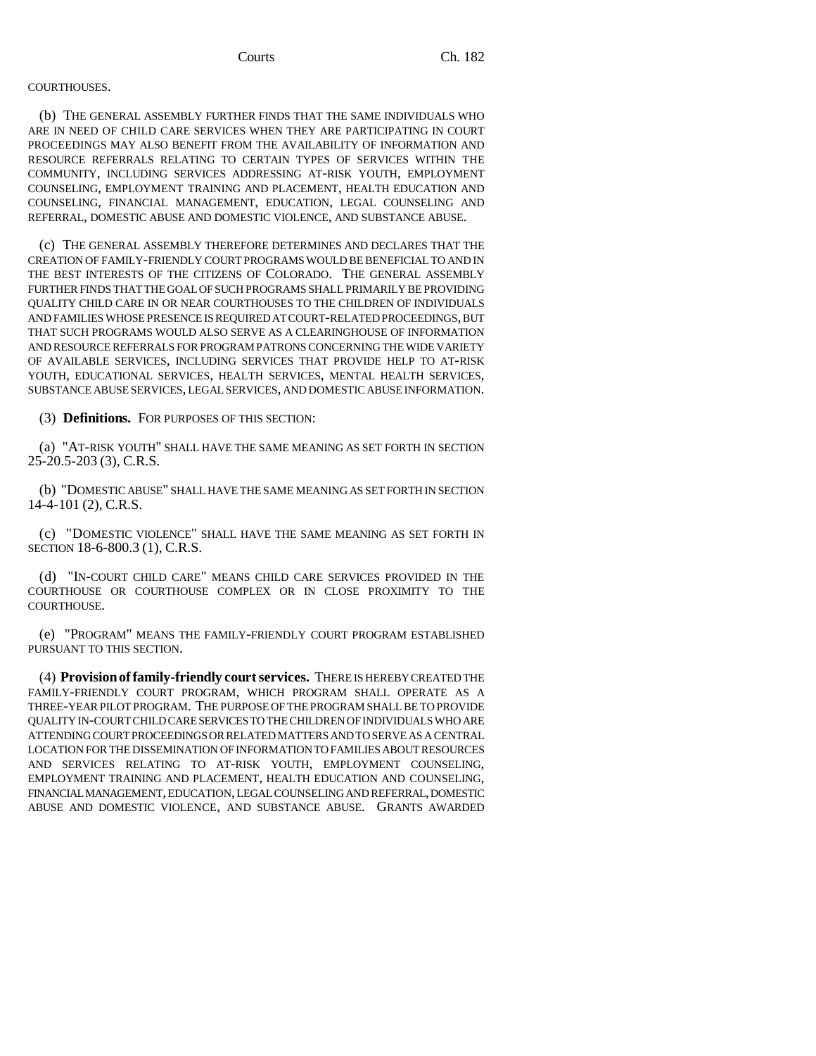### COURTHOUSES.

(b) THE GENERAL ASSEMBLY FURTHER FINDS THAT THE SAME INDIVIDUALS WHO ARE IN NEED OF CHILD CARE SERVICES WHEN THEY ARE PARTICIPATING IN COURT PROCEEDINGS MAY ALSO BENEFIT FROM THE AVAILABILITY OF INFORMATION AND RESOURCE REFERRALS RELATING TO CERTAIN TYPES OF SERVICES WITHIN THE COMMUNITY, INCLUDING SERVICES ADDRESSING AT-RISK YOUTH, EMPLOYMENT COUNSELING, EMPLOYMENT TRAINING AND PLACEMENT, HEALTH EDUCATION AND COUNSELING, FINANCIAL MANAGEMENT, EDUCATION, LEGAL COUNSELING AND REFERRAL, DOMESTIC ABUSE AND DOMESTIC VIOLENCE, AND SUBSTANCE ABUSE.

(c) THE GENERAL ASSEMBLY THEREFORE DETERMINES AND DECLARES THAT THE CREATION OF FAMILY-FRIENDLY COURT PROGRAMS WOULD BE BENEFICIAL TO AND IN THE BEST INTERESTS OF THE CITIZENS OF COLORADO. THE GENERAL ASSEMBLY FURTHER FINDS THAT THE GOAL OF SUCH PROGRAMS SHALL PRIMARILY BE PROVIDING QUALITY CHILD CARE IN OR NEAR COURTHOUSES TO THE CHILDREN OF INDIVIDUALS AND FAMILIES WHOSE PRESENCE IS REQUIRED AT COURT-RELATED PROCEEDINGS, BUT THAT SUCH PROGRAMS WOULD ALSO SERVE AS A CLEARINGHOUSE OF INFORMATION AND RESOURCE REFERRALS FOR PROGRAM PATRONS CONCERNING THE WIDE VARIETY OF AVAILABLE SERVICES, INCLUDING SERVICES THAT PROVIDE HELP TO AT-RISK YOUTH, EDUCATIONAL SERVICES, HEALTH SERVICES, MENTAL HEALTH SERVICES, SUBSTANCE ABUSE SERVICES, LEGAL SERVICES, AND DOMESTIC ABUSE INFORMATION.

(3) **Definitions.** FOR PURPOSES OF THIS SECTION:

(a) "AT-RISK YOUTH" SHALL HAVE THE SAME MEANING AS SET FORTH IN SECTION 25-20.5-203 (3), C.R.S.

(b) "DOMESTIC ABUSE" SHALL HAVE THE SAME MEANING AS SET FORTH IN SECTION 14-4-101 (2), C.R.S.

(c) "DOMESTIC VIOLENCE" SHALL HAVE THE SAME MEANING AS SET FORTH IN SECTION 18-6-800.3 (1), C.R.S.

(d) "IN-COURT CHILD CARE" MEANS CHILD CARE SERVICES PROVIDED IN THE COURTHOUSE OR COURTHOUSE COMPLEX OR IN CLOSE PROXIMITY TO THE COURTHOUSE.

(e) "PROGRAM" MEANS THE FAMILY-FRIENDLY COURT PROGRAM ESTABLISHED PURSUANT TO THIS SECTION.

(4) **Provision of family-friendly court services.** THERE IS HEREBY CREATED THE FAMILY-FRIENDLY COURT PROGRAM, WHICH PROGRAM SHALL OPERATE AS A THREE-YEAR PILOT PROGRAM. THE PURPOSE OF THE PROGRAM SHALL BE TO PROVIDE QUALITY IN-COURT CHILD CARE SERVICES TO THE CHILDREN OF INDIVIDUALS WHO ARE ATTENDING COURT PROCEEDINGS OR RELATED MATTERS AND TO SERVE AS A CENTRAL LOCATION FOR THE DISSEMINATION OF INFORMATION TO FAMILIES ABOUT RESOURCES AND SERVICES RELATING TO AT-RISK YOUTH, EMPLOYMENT COUNSELING, EMPLOYMENT TRAINING AND PLACEMENT, HEALTH EDUCATION AND COUNSELING, FINANCIAL MANAGEMENT, EDUCATION, LEGAL COUNSELING AND REFERRAL, DOMESTIC ABUSE AND DOMESTIC VIOLENCE, AND SUBSTANCE ABUSE. GRANTS AWARDED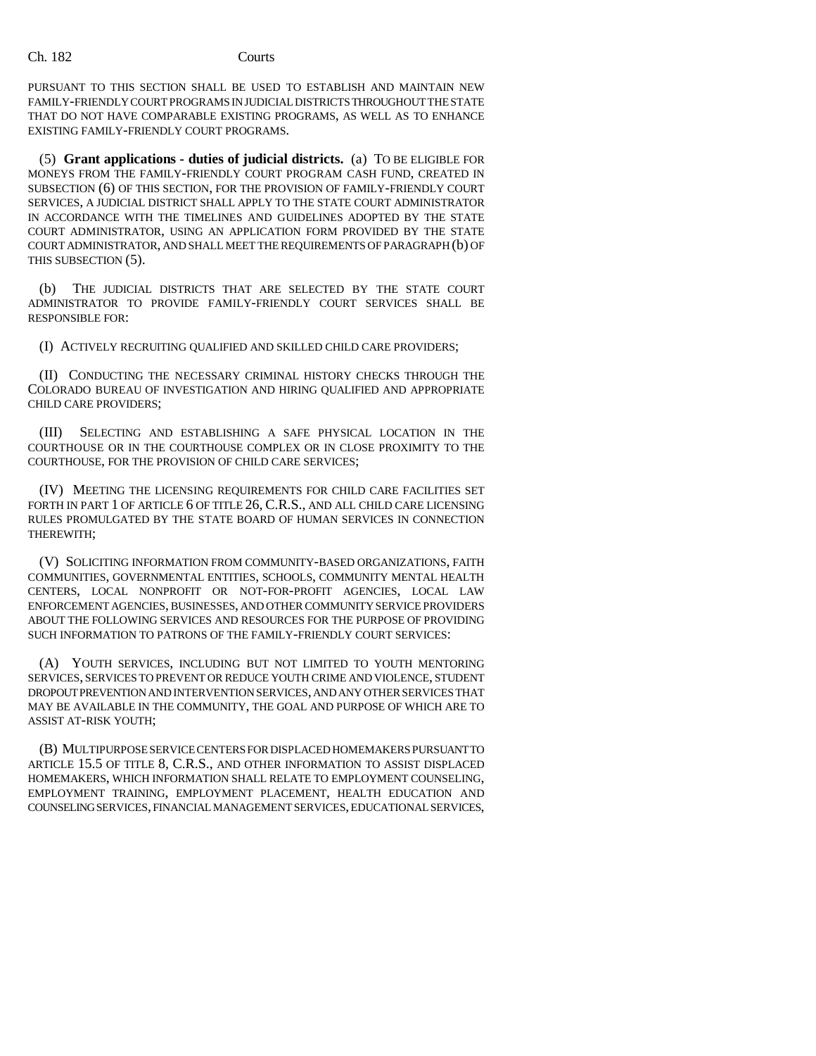PURSUANT TO THIS SECTION SHALL BE USED TO ESTABLISH AND MAINTAIN NEW FAMILY-FRIENDLY COURT PROGRAMS IN JUDICIAL DISTRICTS THROUGHOUT THE STATE THAT DO NOT HAVE COMPARABLE EXISTING PROGRAMS, AS WELL AS TO ENHANCE EXISTING FAMILY-FRIENDLY COURT PROGRAMS.

(5) **Grant applications - duties of judicial districts.** (a) TO BE ELIGIBLE FOR MONEYS FROM THE FAMILY-FRIENDLY COURT PROGRAM CASH FUND, CREATED IN SUBSECTION (6) OF THIS SECTION, FOR THE PROVISION OF FAMILY-FRIENDLY COURT SERVICES, A JUDICIAL DISTRICT SHALL APPLY TO THE STATE COURT ADMINISTRATOR IN ACCORDANCE WITH THE TIMELINES AND GUIDELINES ADOPTED BY THE STATE COURT ADMINISTRATOR, USING AN APPLICATION FORM PROVIDED BY THE STATE COURT ADMINISTRATOR, AND SHALL MEET THE REQUIREMENTS OF PARAGRAPH (b) OF THIS SUBSECTION (5).

(b) THE JUDICIAL DISTRICTS THAT ARE SELECTED BY THE STATE COURT ADMINISTRATOR TO PROVIDE FAMILY-FRIENDLY COURT SERVICES SHALL BE RESPONSIBLE FOR:

(I) ACTIVELY RECRUITING QUALIFIED AND SKILLED CHILD CARE PROVIDERS;

(II) CONDUCTING THE NECESSARY CRIMINAL HISTORY CHECKS THROUGH THE COLORADO BUREAU OF INVESTIGATION AND HIRING QUALIFIED AND APPROPRIATE CHILD CARE PROVIDERS;

(III) SELECTING AND ESTABLISHING A SAFE PHYSICAL LOCATION IN THE COURTHOUSE OR IN THE COURTHOUSE COMPLEX OR IN CLOSE PROXIMITY TO THE COURTHOUSE, FOR THE PROVISION OF CHILD CARE SERVICES;

(IV) MEETING THE LICENSING REQUIREMENTS FOR CHILD CARE FACILITIES SET FORTH IN PART 1 OF ARTICLE 6 OF TITLE 26, C.R.S., AND ALL CHILD CARE LICENSING RULES PROMULGATED BY THE STATE BOARD OF HUMAN SERVICES IN CONNECTION THEREWITH;

(V) SOLICITING INFORMATION FROM COMMUNITY-BASED ORGANIZATIONS, FAITH COMMUNITIES, GOVERNMENTAL ENTITIES, SCHOOLS, COMMUNITY MENTAL HEALTH CENTERS, LOCAL NONPROFIT OR NOT-FOR-PROFIT AGENCIES, LOCAL LAW ENFORCEMENT AGENCIES, BUSINESSES, AND OTHER COMMUNITY SERVICE PROVIDERS ABOUT THE FOLLOWING SERVICES AND RESOURCES FOR THE PURPOSE OF PROVIDING SUCH INFORMATION TO PATRONS OF THE FAMILY-FRIENDLY COURT SERVICES:

(A) YOUTH SERVICES, INCLUDING BUT NOT LIMITED TO YOUTH MENTORING SERVICES, SERVICES TO PREVENT OR REDUCE YOUTH CRIME AND VIOLENCE, STUDENT DROPOUT PREVENTION AND INTERVENTION SERVICES, AND ANY OTHER SERVICES THAT MAY BE AVAILABLE IN THE COMMUNITY, THE GOAL AND PURPOSE OF WHICH ARE TO ASSIST AT-RISK YOUTH;

(B) MULTIPURPOSE SERVICE CENTERS FOR DISPLACED HOMEMAKERS PURSUANT TO ARTICLE 15.5 OF TITLE 8, C.R.S., AND OTHER INFORMATION TO ASSIST DISPLACED HOMEMAKERS, WHICH INFORMATION SHALL RELATE TO EMPLOYMENT COUNSELING, EMPLOYMENT TRAINING, EMPLOYMENT PLACEMENT, HEALTH EDUCATION AND COUNSELING SERVICES, FINANCIAL MANAGEMENT SERVICES, EDUCATIONAL SERVICES,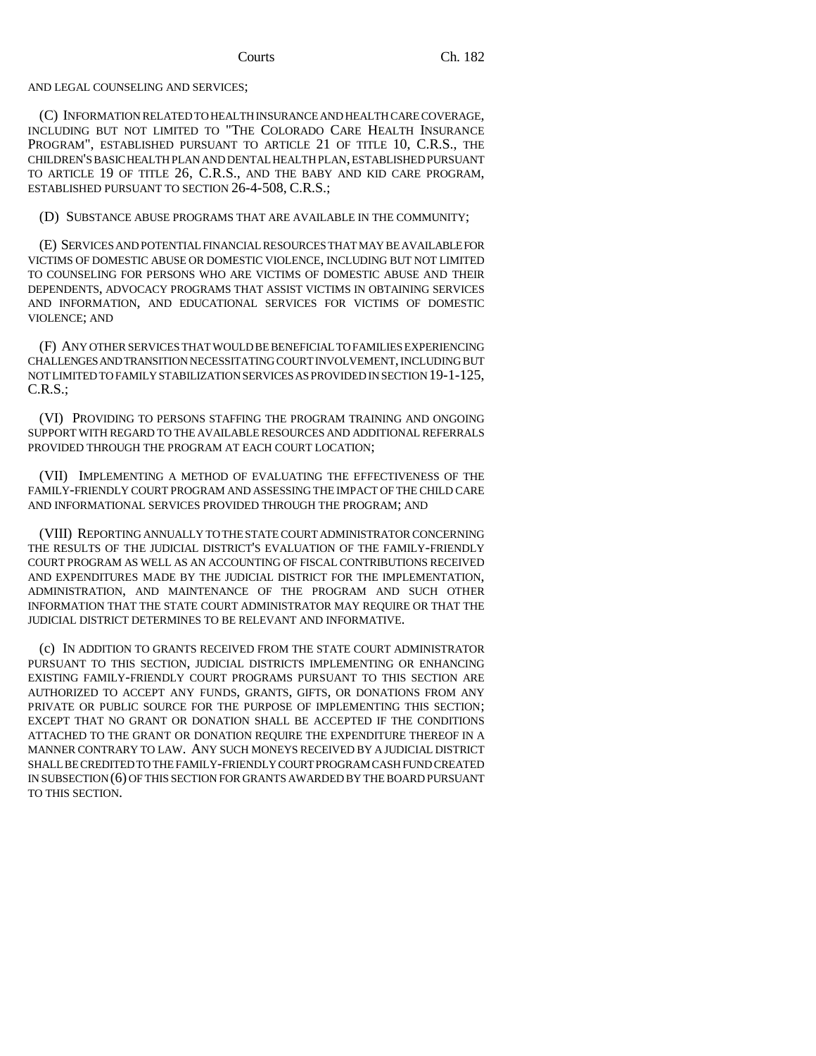### AND LEGAL COUNSELING AND SERVICES;

(C) INFORMATION RELATED TO HEALTH INSURANCE AND HEALTH CARE COVERAGE, INCLUDING BUT NOT LIMITED TO "THE COLORADO CARE HEALTH INSURANCE PROGRAM", ESTABLISHED PURSUANT TO ARTICLE 21 OF TITLE 10, C.R.S., THE CHILDREN'S BASIC HEALTH PLAN AND DENTAL HEALTH PLAN, ESTABLISHED PURSUANT TO ARTICLE 19 OF TITLE 26, C.R.S., AND THE BABY AND KID CARE PROGRAM, ESTABLISHED PURSUANT TO SECTION 26-4-508, C.R.S.;

(D) SUBSTANCE ABUSE PROGRAMS THAT ARE AVAILABLE IN THE COMMUNITY;

(E) SERVICES AND POTENTIAL FINANCIAL RESOURCES THAT MAY BE AVAILABLE FOR VICTIMS OF DOMESTIC ABUSE OR DOMESTIC VIOLENCE, INCLUDING BUT NOT LIMITED TO COUNSELING FOR PERSONS WHO ARE VICTIMS OF DOMESTIC ABUSE AND THEIR DEPENDENTS, ADVOCACY PROGRAMS THAT ASSIST VICTIMS IN OBTAINING SERVICES AND INFORMATION, AND EDUCATIONAL SERVICES FOR VICTIMS OF DOMESTIC VIOLENCE; AND

(F) ANY OTHER SERVICES THAT WOULD BE BENEFICIAL TO FAMILIES EXPERIENCING CHALLENGES AND TRANSITION NECESSITATING COURT INVOLVEMENT, INCLUDING BUT NOT LIMITED TO FAMILY STABILIZATION SERVICES AS PROVIDED IN SECTION 19-1-125, C.R.S.;

(VI) PROVIDING TO PERSONS STAFFING THE PROGRAM TRAINING AND ONGOING SUPPORT WITH REGARD TO THE AVAILABLE RESOURCES AND ADDITIONAL REFERRALS PROVIDED THROUGH THE PROGRAM AT EACH COURT LOCATION;

(VII) IMPLEMENTING A METHOD OF EVALUATING THE EFFECTIVENESS OF THE FAMILY-FRIENDLY COURT PROGRAM AND ASSESSING THE IMPACT OF THE CHILD CARE AND INFORMATIONAL SERVICES PROVIDED THROUGH THE PROGRAM; AND

(VIII) REPORTING ANNUALLY TO THE STATE COURT ADMINISTRATOR CONCERNING THE RESULTS OF THE JUDICIAL DISTRICT'S EVALUATION OF THE FAMILY-FRIENDLY COURT PROGRAM AS WELL AS AN ACCOUNTING OF FISCAL CONTRIBUTIONS RECEIVED AND EXPENDITURES MADE BY THE JUDICIAL DISTRICT FOR THE IMPLEMENTATION, ADMINISTRATION, AND MAINTENANCE OF THE PROGRAM AND SUCH OTHER INFORMATION THAT THE STATE COURT ADMINISTRATOR MAY REQUIRE OR THAT THE JUDICIAL DISTRICT DETERMINES TO BE RELEVANT AND INFORMATIVE.

(c) IN ADDITION TO GRANTS RECEIVED FROM THE STATE COURT ADMINISTRATOR PURSUANT TO THIS SECTION, JUDICIAL DISTRICTS IMPLEMENTING OR ENHANCING EXISTING FAMILY-FRIENDLY COURT PROGRAMS PURSUANT TO THIS SECTION ARE AUTHORIZED TO ACCEPT ANY FUNDS, GRANTS, GIFTS, OR DONATIONS FROM ANY PRIVATE OR PUBLIC SOURCE FOR THE PURPOSE OF IMPLEMENTING THIS SECTION; EXCEPT THAT NO GRANT OR DONATION SHALL BE ACCEPTED IF THE CONDITIONS ATTACHED TO THE GRANT OR DONATION REQUIRE THE EXPENDITURE THEREOF IN A MANNER CONTRARY TO LAW. ANY SUCH MONEYS RECEIVED BY A JUDICIAL DISTRICT SHALL BE CREDITED TO THE FAMILY-FRIENDLY COURT PROGRAM CASH FUND CREATED IN SUBSECTION (6) OF THIS SECTION FOR GRANTS AWARDED BY THE BOARD PURSUANT TO THIS SECTION.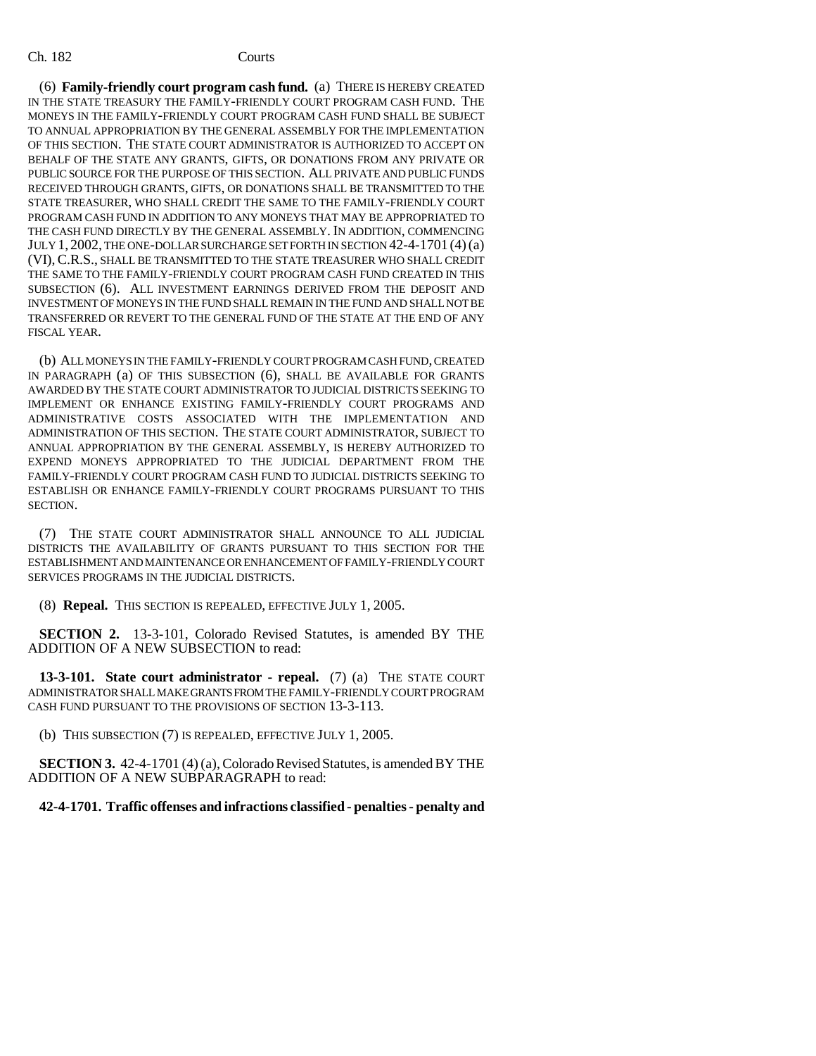(6) **Family-friendly court program cash fund.** (a) THERE IS HEREBY CREATED IN THE STATE TREASURY THE FAMILY-FRIENDLY COURT PROGRAM CASH FUND. THE MONEYS IN THE FAMILY-FRIENDLY COURT PROGRAM CASH FUND SHALL BE SUBJECT TO ANNUAL APPROPRIATION BY THE GENERAL ASSEMBLY FOR THE IMPLEMENTATION OF THIS SECTION. THE STATE COURT ADMINISTRATOR IS AUTHORIZED TO ACCEPT ON BEHALF OF THE STATE ANY GRANTS, GIFTS, OR DONATIONS FROM ANY PRIVATE OR PUBLIC SOURCE FOR THE PURPOSE OF THIS SECTION. ALL PRIVATE AND PUBLIC FUNDS RECEIVED THROUGH GRANTS, GIFTS, OR DONATIONS SHALL BE TRANSMITTED TO THE STATE TREASURER, WHO SHALL CREDIT THE SAME TO THE FAMILY-FRIENDLY COURT PROGRAM CASH FUND IN ADDITION TO ANY MONEYS THAT MAY BE APPROPRIATED TO THE CASH FUND DIRECTLY BY THE GENERAL ASSEMBLY. IN ADDITION, COMMENCING JULY 1, 2002, THE ONE-DOLLAR SURCHARGE SET FORTH IN SECTION 42-4-1701 (4)(a) (VI),C.R.S., SHALL BE TRANSMITTED TO THE STATE TREASURER WHO SHALL CREDIT THE SAME TO THE FAMILY-FRIENDLY COURT PROGRAM CASH FUND CREATED IN THIS SUBSECTION (6). ALL INVESTMENT EARNINGS DERIVED FROM THE DEPOSIT AND INVESTMENT OF MONEYS IN THE FUND SHALL REMAIN IN THE FUND AND SHALL NOT BE TRANSFERRED OR REVERT TO THE GENERAL FUND OF THE STATE AT THE END OF ANY FISCAL YEAR.

(b) ALL MONEYS IN THE FAMILY-FRIENDLY COURT PROGRAM CASH FUND, CREATED IN PARAGRAPH (a) OF THIS SUBSECTION (6), SHALL BE AVAILABLE FOR GRANTS AWARDED BY THE STATE COURT ADMINISTRATOR TO JUDICIAL DISTRICTS SEEKING TO IMPLEMENT OR ENHANCE EXISTING FAMILY-FRIENDLY COURT PROGRAMS AND ADMINISTRATIVE COSTS ASSOCIATED WITH THE IMPLEMENTATION AND ADMINISTRATION OF THIS SECTION. THE STATE COURT ADMINISTRATOR, SUBJECT TO ANNUAL APPROPRIATION BY THE GENERAL ASSEMBLY, IS HEREBY AUTHORIZED TO EXPEND MONEYS APPROPRIATED TO THE JUDICIAL DEPARTMENT FROM THE FAMILY-FRIENDLY COURT PROGRAM CASH FUND TO JUDICIAL DISTRICTS SEEKING TO ESTABLISH OR ENHANCE FAMILY-FRIENDLY COURT PROGRAMS PURSUANT TO THIS SECTION.

(7) THE STATE COURT ADMINISTRATOR SHALL ANNOUNCE TO ALL JUDICIAL DISTRICTS THE AVAILABILITY OF GRANTS PURSUANT TO THIS SECTION FOR THE ESTABLISHMENT AND MAINTENANCE OR ENHANCEMENT OF FAMILY-FRIENDLY COURT SERVICES PROGRAMS IN THE JUDICIAL DISTRICTS.

(8) **Repeal.** THIS SECTION IS REPEALED, EFFECTIVE JULY 1, 2005.

**SECTION 2.** 13-3-101, Colorado Revised Statutes, is amended BY THE ADDITION OF A NEW SUBSECTION to read:

**13-3-101. State court administrator - repeal.** (7) (a) THE STATE COURT ADMINISTRATOR SHALL MAKE GRANTS FROM THE FAMILY-FRIENDLY COURT PROGRAM CASH FUND PURSUANT TO THE PROVISIONS OF SECTION 13-3-113.

(b) THIS SUBSECTION (7) IS REPEALED, EFFECTIVE JULY 1, 2005.

**SECTION 3.** 42-4-1701 (4) (a), Colorado Revised Statutes, is amended BY THE ADDITION OF A NEW SUBPARAGRAPH to read:

## **42-4-1701. Traffic offenses and infractions classified - penalties - penalty and**